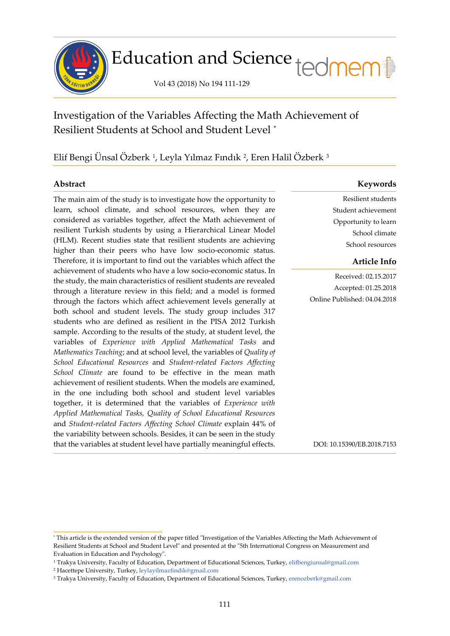

# Education and Science tedmem<sup>[1</sup>]

Vol 43 (2018) No 194 111-129

# Investigation of the Variables Affecting the Math Achievement of Resilient Students at School and Student Level [\\*](#page-0-0)

## Elif Bengi Unsal Ozberk <sup>[1](#page-0-1)</sup>, Leyla Yılmaz Fındık <sup>[2](#page-0-2)</sup>, Eren Halil Ozberk <sup>[3](#page-0-3)</sup>

í

The main aim of the study is to investigate how the opportunity to learn, school climate, and school resources, when they are considered as variables together, affect the Math achievement of resilient Turkish students by using a Hierarchical Linear Model (HLM). Recent studies state that resilient students are achieving higher than their peers who have low socio-economic status. Therefore, it is important to find out the variables which affect the achievement of students who have a low socio-economic status. In the study, the main characteristics of resilient students are revealed through a literature review in this field; and a model is formed through the factors which affect achievement levels generally at both school and student levels. The study group includes 317 students who are defined as resilient in the PISA 2012 Turkish sample. According to the results of the study, at student level, the variables of *Experience with Applied Mathematical Tasks* and *Mathematics Teaching*; and at school level, the variables of *Quality of School Educational Resources* and *Student-related Factors Affecting School Climate* are found to be effective in the mean math achievement of resilient students. When the models are examined, in the one including both school and student level variables together, it is determined that the variables of *Experience with Applied Mathematical Tasks, Quality of School Educational Resources*  and *Student-related Factors Affecting School Climate* explain 44% of the variability between schools. Besides, it can be seen in the study that the variables at student level have partially meaningful effects.

### **Abstract Keywords**

Resilient students Student achievement Opportunity to learn School climate School resources

### **Article Info**

Received: 02.15.2017 Accepted: 01.25.2018 Online Published: 04.04.2018

DOI: 10.15390/EB.2018.7153

<span id="page-0-0"></span><sup>\*</sup> This article is the extended version of the paper titled "Investigation of the Variables Affecting the Math Achievement of Resilient Students at School and Student Level" and presented at the "5th International Congress on Measurement and Evaluation in Education and Psychology".

<span id="page-0-2"></span><span id="page-0-1"></span><sup>1</sup> Trakya University, Faculty of Education, Department of Educational Sciences, Turkey, [elifbengiunsal@gmail.com](mailto:elifbengiunsal@gmail.com) <sup>2</sup> Hacettepe University, Turkey, [leylayilmazfindik@gmail.com](mailto:leylayilmazfindik@gmail.com)

<span id="page-0-3"></span><sup>3</sup> Trakya University, Faculty of Education, Department of Educational Sciences, Turkey, [erenozberk@gmail.com](mailto:erenozberk@gmail.com)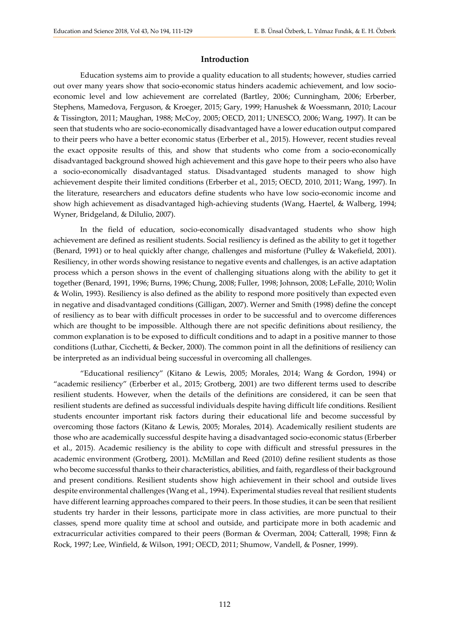#### **Introduction**

Education systems aim to provide a quality education to all students; however, studies carried out over many years show that socio-economic status hinders academic achievement, and low socioeconomic level and low achievement are correlated (Bartley, 2006; Cunningham, 2006; Erberber, Stephens, Mamedova, Ferguson, & Kroeger, 2015; Gary, 1999; Hanushek & Woessmann, 2010; Lacour & Tissington, 2011; Maughan, 1988; McCoy, 2005; OECD, 2011; UNESCO, 2006; Wang, 1997). It can be seen that students who are socio-economically disadvantaged have a lower education output compared to their peers who have a better economic status (Erberber et al., 2015). However, recent studies reveal the exact opposite results of this, and show that students who come from a socio-economically disadvantaged background showed high achievement and this gave hope to their peers who also have a socio-economically disadvantaged status. Disadvantaged students managed to show high achievement despite their limited conditions (Erberber et al., 2015; OECD, 2010, 2011; Wang, 1997). In the literature, researchers and educators define students who have low socio-economic income and show high achievement as disadvantaged high-achieving students (Wang, Haertel, & Walberg, 1994; Wyner, Bridgeland, & Dilulio, 2007).

In the field of education, socio-economically disadvantaged students who show high achievement are defined as resilient students. Social resiliency is defined as the ability to get it together (Benard, 1991) or to heal quickly after change, challenges and misfortune (Pulley & Wakefield, 2001). Resiliency, in other words showing resistance to negative events and challenges, is an active adaptation process which a person shows in the event of challenging situations along with the ability to get it together (Benard, 1991, 1996; Burns, 1996; Chung, 2008; Fuller, 1998; Johnson, 2008; LeFalle, 2010; Wolin & Wolin, 1993). Resiliency is also defined as the ability to respond more positively than expected even in negative and disadvantaged conditions (Gilligan, 2007). Werner and Smith (1998) define the concept of resiliency as to bear with difficult processes in order to be successful and to overcome differences which are thought to be impossible. Although there are not specific definitions about resiliency, the common explanation is to be exposed to difficult conditions and to adapt in a positive manner to those conditions (Luthar, Cicchetti, & Becker, 2000). The common point in all the definitions of resiliency can be interpreted as an individual being successful in overcoming all challenges.

"Educational resiliency" (Kitano & Lewis, 2005; Morales, 2014; Wang & Gordon, 1994) or "academic resiliency" (Erberber et al., 2015; Grotberg, 2001) are two different terms used to describe resilient students. However, when the details of the definitions are considered, it can be seen that resilient students are defined as successful individuals despite having difficult life conditions. Resilient students encounter important risk factors during their educational life and become successful by overcoming those factors (Kitano & Lewis, 2005; Morales, 2014). Academically resilient students are those who are academically successful despite having a disadvantaged socio-economic status (Erberber et al., 2015). Academic resiliency is the ability to cope with difficult and stressful pressures in the academic environment (Grotberg, 2001). McMillan and Reed (2010) define resilient students as those who become successful thanks to their characteristics, abilities, and faith, regardless of their background and present conditions. Resilient students show high achievement in their school and outside lives despite environmental challenges (Wang et al., 1994). Experimental studies reveal that resilient students have different learning approaches compared to their peers. In those studies, it can be seen that resilient students try harder in their lessons, participate more in class activities, are more punctual to their classes, spend more quality time at school and outside, and participate more in both academic and extracurricular activities compared to their peers (Borman & Overman, 2004; Catterall, 1998; Finn & Rock, 1997; Lee, Winfield, & Wilson, 1991; OECD, 2011; Shumow, Vandell, & Posner, 1999).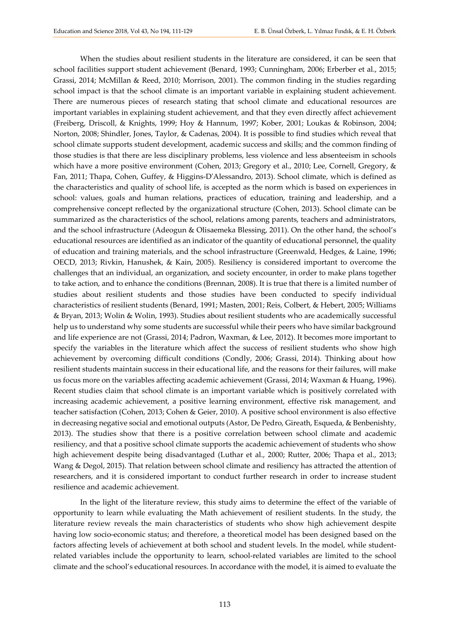When the studies about resilient students in the literature are considered, it can be seen that school facilities support student achievement (Benard, 1993; Cunningham, 2006; Erberber et al., 2015; Grassi, 2014; McMillan & Reed, 2010; Morrison, 2001). The common finding in the studies regarding school impact is that the school climate is an important variable in explaining student achievement. There are numerous pieces of research stating that school climate and educational resources are important variables in explaining student achievement, and that they even directly affect achievement (Freiberg, Driscoll, & Knights, 1999; Hoy & Hannum, 1997; Kober, 2001; Loukas & Robinson, 2004; Norton, 2008; Shindler, Jones, Taylor, & Cadenas, 2004). It is possible to find studies which reveal that school climate supports student development, academic success and skills; and the common finding of those studies is that there are less disciplinary problems, less violence and less absenteeism in schools which have a more positive environment (Cohen, 2013; Gregory et al., 2010; Lee, Cornell, Gregory, & Fan, 2011; Thapa, Cohen, Guffey, & Higgins-D'Alessandro, 2013). School climate, which is defined as the characteristics and quality of school life, is accepted as the norm which is based on experiences in school: values, goals and human relations, practices of education, training and leadership, and a comprehensive concept reflected by the organizational structure (Cohen, 2013). School climate can be summarized as the characteristics of the school, relations among parents, teachers and administrators, and the school infrastructure (Adeogun & Olisaemeka Blessing, 2011). On the other hand, the school's educational resources are identified as an indicator of the quantity of educational personnel, the quality of education and training materials, and the school infrastructure (Greenwald, Hedges, & Laine, 1996; OECD, 2013; Rivkin, Hanushek, & Kain, 2005). Resiliency is considered important to overcome the challenges that an individual, an organization, and society encounter, in order to make plans together to take action, and to enhance the conditions (Brennan, 2008). It is true that there is a limited number of studies about resilient students and those studies have been conducted to specify individual characteristics of resilient students (Benard, 1991; Masten, 2001; Reis, Colbert, & Hebert, 2005; Williams & Bryan, 2013; Wolin & Wolin, 1993). Studies about resilient students who are academically successful help us to understand why some students are successful while their peers who have similar background and life experience are not (Grassi, 2014; Padron, Waxman, & Lee, 2012). It becomes more important to specify the variables in the literature which affect the success of resilient students who show high achievement by overcoming difficult conditions (Condly, 2006; Grassi, 2014). Thinking about how resilient students maintain success in their educational life, and the reasons for their failures, will make us focus more on the variables affecting academic achievement (Grassi, 2014; Waxman & Huang, 1996). Recent studies claim that school climate is an important variable which is positively correlated with increasing academic achievement, a positive learning environment, effective risk management, and teacher satisfaction (Cohen, 2013; Cohen & Geier, 2010). A positive school environment is also effective in decreasing negative social and emotional outputs (Astor, De Pedro, Gireath, Esqueda, & Benbenishty, 2013). The studies show that there is a positive correlation between school climate and academic resiliency, and that a positive school climate supports the academic achievement of students who show high achievement despite being disadvantaged (Luthar et al., 2000; Rutter, 2006; Thapa et al., 2013; Wang & Degol, 2015). That relation between school climate and resiliency has attracted the attention of researchers, and it is considered important to conduct further research in order to increase student resilience and academic achievement.

In the light of the literature review, this study aims to determine the effect of the variable of opportunity to learn while evaluating the Math achievement of resilient students. In the study, the literature review reveals the main characteristics of students who show high achievement despite having low socio-economic status; and therefore, a theoretical model has been designed based on the factors affecting levels of achievement at both school and student levels. In the model, while studentrelated variables include the opportunity to learn, school-related variables are limited to the school climate and the school's educational resources. In accordance with the model, it is aimed to evaluate the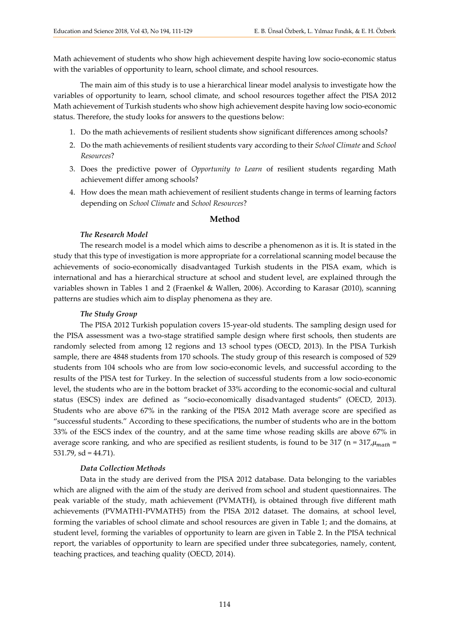Math achievement of students who show high achievement despite having low socio-economic status with the variables of opportunity to learn, school climate, and school resources.

The main aim of this study is to use a hierarchical linear model analysis to investigate how the variables of opportunity to learn, school climate, and school resources together affect the PISA 2012 Math achievement of Turkish students who show high achievement despite having low socio-economic status. Therefore, the study looks for answers to the questions below:

- 1. Do the math achievements of resilient students show significant differences among schools?
- 2. Do the math achievements of resilient students vary according to their *School Climate* and *School Resources*?
- 3. Does the predictive power of *Opportunity to Learn* of resilient students regarding Math achievement differ among schools?
- 4. How does the mean math achievement of resilient students change in terms of learning factors depending on *School Climate* and *School Resources*?

#### **Method**

#### *The Research Model*

The research model is a model which aims to describe a phenomenon as it is. It is stated in the study that this type of investigation is more appropriate for a correlational scanning model because the achievements of socio-economically disadvantaged Turkish students in the PISA exam, which is international and has a hierarchical structure at school and student level, are explained through the variables shown in Tables 1 and 2 (Fraenkel & Wallen, 2006). According to Karasar (2010), scanning patterns are studies which aim to display phenomena as they are.

#### *The Study Group*

The PISA 2012 Turkish population covers 15-year-old students. The sampling design used for the PISA assessment was a two-stage stratified sample design where first schools, then students are randomly selected from among 12 regions and 13 school types (OECD, 2013). In the PISA Turkish sample, there are 4848 students from 170 schools. The study group of this research is composed of 529 students from 104 schools who are from low socio-economic levels, and successful according to the results of the PISA test for Turkey. In the selection of successful students from a low socio-economic level, the students who are in the bottom bracket of 33% according to the economic-social and cultural status (ESCS) index are defined as "socio-economically disadvantaged students" (OECD, 2013). Students who are above 67% in the ranking of the PISA 2012 Math average score are specified as "successful students." According to these specifications, the number of students who are in the bottom 33% of the ESCS index of the country, and at the same time whose reading skills are above 67% in average score ranking, and who are specified as resilient students, is found to be 317 (n =  $317 \mu_{math}$  = 531.79,  $sd = 44.71$ ).

#### *Data Collection Methods*

Data in the study are derived from the PISA 2012 database. Data belonging to the variables which are aligned with the aim of the study are derived from school and student questionnaires. The peak variable of the study, math achievement (PVMATH), is obtained through five different math achievements (PVMATH1-PVMATH5) from the PISA 2012 dataset. The domains, at school level, forming the variables of school climate and school resources are given in Table 1; and the domains, at student level, forming the variables of opportunity to learn are given in Table 2. In the PISA technical report, the variables of opportunity to learn are specified under three subcategories, namely, content, teaching practices, and teaching quality (OECD, 2014).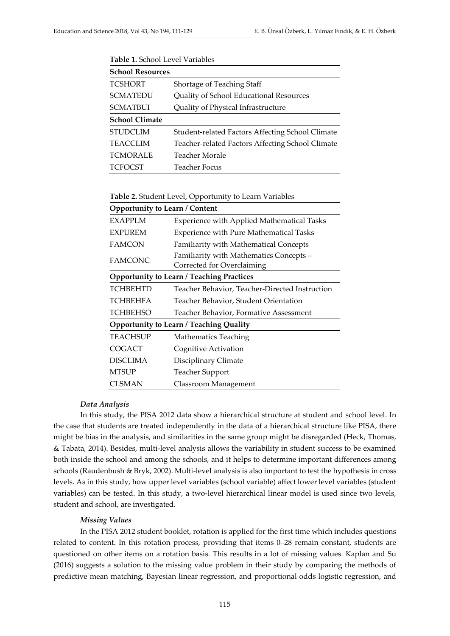| <b>School Resources</b> |                                                  |
|-------------------------|--------------------------------------------------|
| <b>TCSHORT</b>          | Shortage of Teaching Staff                       |
| <b>SCMATEDU</b>         | Quality of School Educational Resources          |
| <b>SCMATBUI</b>         | Quality of Physical Infrastructure               |
| <b>School Climate</b>   |                                                  |
| <b>STUDCLIM</b>         | Student-related Factors Affecting School Climate |
| <b>TEACCLIM</b>         | Teacher-related Factors Affecting School Climate |
| <b>TCMORALE</b>         | Teacher Morale                                   |
| <b>TCFOCST</b>          | Teacher Focus                                    |

**Table 1.** School Level Variables

**Table 2.** Student Level, Opportunity to Learn Variables

| <b>Opportunity to Learn / Content</b>          |                                                                       |  |  |  |  |  |  |
|------------------------------------------------|-----------------------------------------------------------------------|--|--|--|--|--|--|
| <b>EXAPPLM</b>                                 | <b>Experience with Applied Mathematical Tasks</b>                     |  |  |  |  |  |  |
| <b>EXPUREM</b>                                 | <b>Experience with Pure Mathematical Tasks</b>                        |  |  |  |  |  |  |
| <b>FAMCON</b>                                  | Familiarity with Mathematical Concepts                                |  |  |  |  |  |  |
| <b>FAMCONC</b>                                 | Familiarity with Mathematics Concepts -<br>Corrected for Overclaiming |  |  |  |  |  |  |
|                                                | <b>Opportunity to Learn / Teaching Practices</b>                      |  |  |  |  |  |  |
| <b>TCHBEHTD</b>                                | Teacher Behavior, Teacher-Directed Instruction                        |  |  |  |  |  |  |
| <b>TCHBEHFA</b>                                | Teacher Behavior, Student Orientation                                 |  |  |  |  |  |  |
| <b>TCHBEHSO</b>                                | Teacher Behavior, Formative Assessment                                |  |  |  |  |  |  |
| <b>Opportunity to Learn / Teaching Quality</b> |                                                                       |  |  |  |  |  |  |
| <b>TEACHSUP</b>                                | <b>Mathematics Teaching</b>                                           |  |  |  |  |  |  |
| COGACT                                         | Cognitive Activation                                                  |  |  |  |  |  |  |
| <b>DISCLIMA</b>                                | Disciplinary Climate                                                  |  |  |  |  |  |  |
| <b>MTSUP</b>                                   | <b>Teacher Support</b>                                                |  |  |  |  |  |  |
| CLSMAN                                         | Classroom Management                                                  |  |  |  |  |  |  |

#### *Data Analysis*

In this study, the PISA 2012 data show a hierarchical structure at student and school level. In the case that students are treated independently in the data of a hierarchical structure like PISA, there might be bias in the analysis, and similarities in the same group might be disregarded (Heck, Thomas, & Tabata, 2014). Besides, multi-level analysis allows the variability in student success to be examined both inside the school and among the schools, and it helps to determine important differences among schools (Raudenbush & Bryk, 2002). Multi-level analysis is also important to test the hypothesis in cross levels. As in this study, how upper level variables (school variable) affect lower level variables (student variables) can be tested. In this study, a two-level hierarchical linear model is used since two levels, student and school, are investigated.

#### *Missing Values*

In the PISA 2012 student booklet, rotation is applied for the first time which includes questions related to content. In this rotation process, providing that items 0–28 remain constant, students are questioned on other items on a rotation basis. This results in a lot of missing values. Kaplan and Su (2016) suggests a solution to the missing value problem in their study by comparing the methods of predictive mean matching, Bayesian linear regression, and proportional odds logistic regression, and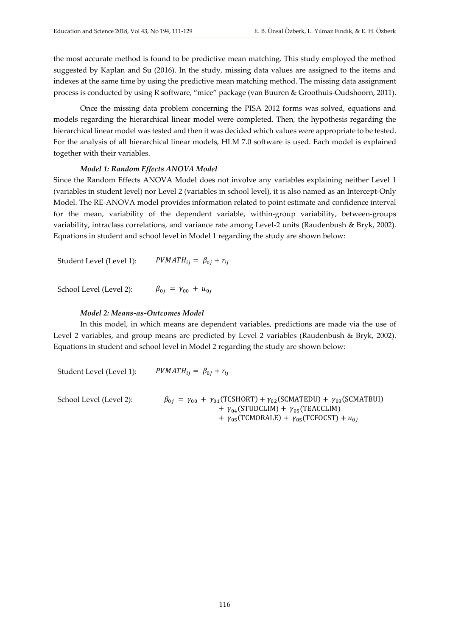the most accurate method is found to be predictive mean matching. This study employed the method suggested by Kaplan and Su (2016). In the study, missing data values are assigned to the items and indexes at the same time by using the predictive mean matching method. The missing data assignment process is conducted by using R software, "mice" package (van Buuren & Groothuis-Oudshoorn, 2011).

Once the missing data problem concerning the PISA 2012 forms was solved, equations and models regarding the hierarchical linear model were completed. Then, the hypothesis regarding the hierarchical linear model was tested and then it was decided which values were appropriate to be tested. For the analysis of all hierarchical linear models, HLM 7.0 software is used. Each model is explained together with their variables.

#### *Model 1: Random Effects ANOVA Model*

Since the Random Effects ANOVA Model does not involve any variables explaining neither Level 1 (variables in student level) nor Level 2 (variables in school level), it is also named as an Intercept-Only Model. The RE-ANOVA model provides information related to point estimate and confidence interval for the mean, variability of the dependent variable, within-group variability, between-groups variability, intraclass correlations, and variance rate among Level-2 units (Raudenbush & Bryk, 2002). Equations in student and school level in Model 1 regarding the study are shown below:

Student Level (Level 1):  $PVMATH_{ij} = \beta_{0j} + r_{ij}$ 

School Level (Level 2):  $\beta_{0j} = \gamma_{00} + u_{0j}$ 

#### *Model 2: Means-as-Outcomes Model*

In this model, in which means are dependent variables, predictions are made via the use of Level 2 variables, and group means are predicted by Level 2 variables (Raudenbush & Bryk, 2002). Equations in student and school level in Model 2 regarding the study are shown below:

Student Level (Level 1):  $PVMATH_{ii} = \beta_{0i} + r_{ii}$ 

School Level (Level 2):  $\beta_{0j} = \gamma_{00} + \gamma_{01}(\text{TCSHORT}) + \gamma_{02}(\text{SCMATEDU}) + \gamma_{03}(\text{SCMATBUI})$ +  $\gamma_{04}$ (STUDCLIM) +  $\gamma_{05}$ (TEACCLIM) +  $\gamma_{05}$ (TCMORALE) +  $\gamma_{05}$ (TCFOCST) +  $u_{0i}$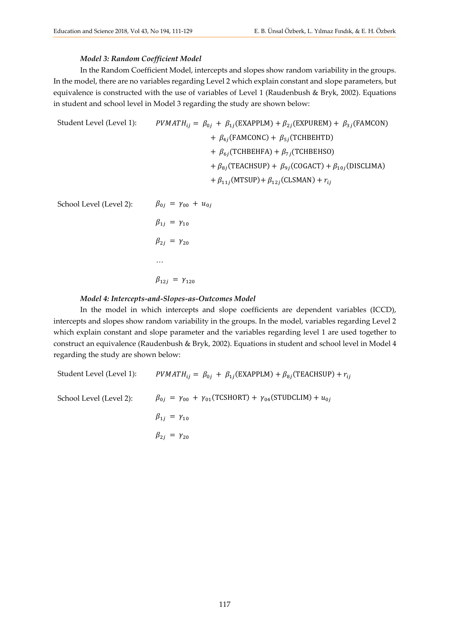#### *Model 3: Random Coefficient Model*

In the Random Coefficient Model, intercepts and slopes show random variability in the groups. In the model, there are no variables regarding Level 2 which explain constant and slope parameters, but equivalence is constructed with the use of variables of Level 1 (Raudenbush & Bryk, 2002). Equations in student and school level in Model 3 regarding the study are shown below:

Student Level (Level 1): 
$$
PVMATH_{ij} = \beta_{0j} + \beta_{1j}(\text{EXAPPLM}) + \beta_{2j}(\text{EXPUREM}) + \beta_{3j}(\text{FAMCON}) + \beta_{4j}(\text{FAMCONC}) + \beta_{5j}(\text{TCHBEHTD}) + \beta_{6j}(\text{TCHBEHTA}) + \beta_{7j}(\text{TCHBEHSO}) + \beta_{8j}(\text{TEACHSUP}) + \beta_{9j}(\text{COGACT}) + \beta_{10j}(\text{DISCLIMA}) + \beta_{11j}(\text{MTSUP}) + \beta_{12j}(\text{CLSMAN}) + r_{ij}
$$

School Level (Level 2):  $\beta_{0j} = \gamma_{00} + u_{0j}$ 

$$
\beta_{1j} = \gamma_{10}
$$
  
\n
$$
\beta_{2j} = \gamma_{20}
$$
  
\n...  
\n
$$
\beta_{12j} = \gamma_{120}
$$

#### *Model 4: Intercepts-and-Slopes-as-Outcomes Model*

In the model in which intercepts and slope coefficients are dependent variables (ICCD), intercepts and slopes show random variability in the groups. In the model, variables regarding Level 2 which explain constant and slope parameter and the variables regarding level 1 are used together to construct an equivalence (Raudenbush & Bryk, 2002). Equations in student and school level in Model 4 regarding the study are shown below:

Student Level (Level 1):  $PVMATH_{ij} = \beta_{0j} + \beta_{1j}$ (EXAPPLM) +  $\beta_{8j}$ (TEACHSUP) +  $r_{ij}$ School Level (Level 2):  $\beta_{0j} = \gamma_{00} + \gamma_{01}(\text{TCSHORT}) + \gamma_{04}(\text{STUDCLIM}) + u_{0j}$  $\beta_{1i} = \gamma_{10}$  $\beta_{2i} = \gamma_{20}$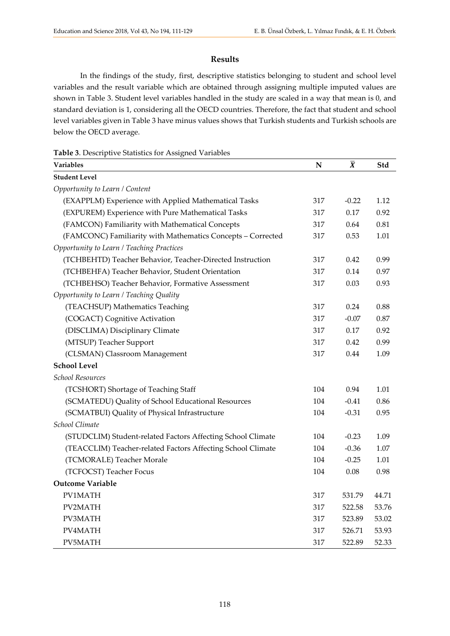#### **Results**

In the findings of the study, first, descriptive statistics belonging to student and school level variables and the result variable which are obtained through assigning multiple imputed values are shown in Table 3. Student level variables handled in the study are scaled in a way that mean is 0, and standard deviation is 1, considering all the OECD countries. Therefore, the fact that student and school level variables given in Table 3 have minus values shows that Turkish students and Turkish schools are below the OECD average.

| Table 3. Descriptive Statistics for Assigned Variables |
|--------------------------------------------------------|
|--------------------------------------------------------|

| Variables                                                   | $\mathbf N$ | $\bar{X}$ | Std   |
|-------------------------------------------------------------|-------------|-----------|-------|
| <b>Student Level</b>                                        |             |           |       |
| Opportunity to Learn / Content                              |             |           |       |
| (EXAPPLM) Experience with Applied Mathematical Tasks        | 317         | $-0.22$   | 1.12  |
| (EXPUREM) Experience with Pure Mathematical Tasks           | 317         | 0.17      | 0.92  |
| (FAMCON) Familiarity with Mathematical Concepts             | 317         | 0.64      | 0.81  |
| (FAMCONC) Familiarity with Mathematics Concepts - Corrected | 317         | 0.53      | 1.01  |
| Opportunity to Learn / Teaching Practices                   |             |           |       |
| (TCHBEHTD) Teacher Behavior, Teacher-Directed Instruction   | 317         | 0.42      | 0.99  |
| (TCHBEHFA) Teacher Behavior, Student Orientation            | 317         | 0.14      | 0.97  |
| (TCHBEHSO) Teacher Behavior, Formative Assessment           | 317         | 0.03      | 0.93  |
| Opportunity to Learn / Teaching Quality                     |             |           |       |
| (TEACHSUP) Mathematics Teaching                             | 317         | 0.24      | 0.88  |
| (COGACT) Cognitive Activation                               | 317         | $-0.07$   | 0.87  |
| (DISCLIMA) Disciplinary Climate                             | 317         | 0.17      | 0.92  |
| (MTSUP) Teacher Support                                     | 317         | 0.42      | 0.99  |
| (CLSMAN) Classroom Management                               | 317         | 0.44      | 1.09  |
| <b>School Level</b>                                         |             |           |       |
| <b>School Resources</b>                                     |             |           |       |
| (TCSHORT) Shortage of Teaching Staff                        | 104         | 0.94      | 1.01  |
| (SCMATEDU) Quality of School Educational Resources          | 104         | $-0.41$   | 0.86  |
| (SCMATBUI) Quality of Physical Infrastructure               | 104         | $-0.31$   | 0.95  |
| School Climate                                              |             |           |       |
| (STUDCLIM) Student-related Factors Affecting School Climate | 104         | $-0.23$   | 1.09  |
| (TEACCLIM) Teacher-related Factors Affecting School Climate | 104         | $-0.36$   | 1.07  |
| (TCMORALE) Teacher Morale                                   | 104         | $-0.25$   | 1.01  |
| (TCFOCST) Teacher Focus                                     | 104         | 0.08      | 0.98  |
| <b>Outcome Variable</b>                                     |             |           |       |
| PV1MATH                                                     | 317         | 531.79    | 44.71 |
| PV2MATH                                                     | 317         | 522.58    | 53.76 |
| PV3MATH                                                     | 317         | 523.89    | 53.02 |
| PV4MATH                                                     | 317         | 526.71    | 53.93 |
| PV5MATH                                                     | 317         | 522.89    | 52.33 |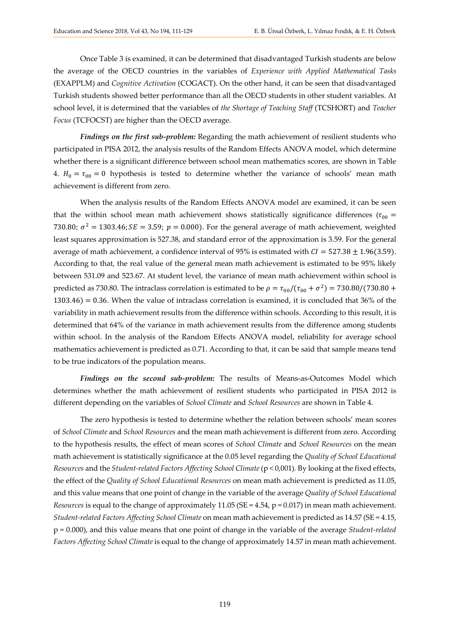Once Table 3 is examined, it can be determined that disadvantaged Turkish students are below the average of the OECD countries in the variables of *Experience with Applied Mathematical Tasks*  (EXAPPLM) and *Cognitive Activation* (COGACT). On the other hand, it can be seen that disadvantaged Turkish students showed better performance than all the OECD students in other student variables. At school level, it is determined that the variables of *the Shortage of Teaching Staff* (TCSHORT) and *Teacher Focus* (TCFOCST) are higher than the OECD average.

*Findings on the first sub-problem:* Regarding the math achievement of resilient students who participated in PISA 2012, the analysis results of the Random Effects ANOVA model, which determine whether there is a significant difference between school mean mathematics scores, are shown in Table 4.  $H_0 = \tau_{00} = 0$  hypothesis is tested to determine whether the variance of schools' mean math achievement is different from zero.

When the analysis results of the Random Effects ANOVA model are examined, it can be seen that the within school mean math achievement shows statistically significance differences ( $\tau_{00}$  = 730.80;  $\sigma^2 = 1303.46$ ;  $SE = 3.59$ ;  $p = 0.000$ ). For the general average of math achievement, weighted least squares approximation is 527.38, and standard error of the approximation is 3.59. For the general average of math achievement, a confidence interval of 95% is estimated with  $CI = 527.38 \pm 1.96(3.59)$ . According to that, the real value of the general mean math achievement is estimated to be 95% likely between 531.09 and 523.67. At student level, the variance of mean math achievement within school is predicted as 730.80. The intraclass correlation is estimated to be  $\rho = \tau_{00}/(\tau_{00} + \sigma^2) = 730.80/(730.80 +$  $1303.46$  = 0.36. When the value of intraclass correlation is examined, it is concluded that 36% of the variability in math achievement results from the difference within schools. According to this result, it is determined that 64% of the variance in math achievement results from the difference among students within school. In the analysis of the Random Effects ANOVA model, reliability for average school mathematics achievement is predicted as 0.71. According to that, it can be said that sample means tend to be true indicators of the population means.

*Findings on the second sub-problem:* The results of Means-as-Outcomes Model which determines whether the math achievement of resilient students who participated in PISA 2012 is different depending on the variables of *School Climate* and *School Resources* are shown in Table 4.

The zero hypothesis is tested to determine whether the relation between schools' mean scores of *School Climate* and *School Resources* and the mean math achievement is different from zero. According to the hypothesis results, the effect of mean scores of *School Climate* and *School Resources* on the mean math achievement is statistically significance at the 0.05 level regarding the *Quality of School Educational Resources* and the *Student-related Factors Affecting School Climate* (p < 0,001)*.* By looking at the fixed effects, the effect of the *Quality of School Educational Resources* on mean math achievement is predicted as 11.05, and this value means that one point of change in the variable of the average *Quality of School Educational Resources* is equal to the change of approximately 11.05 (SE = 4.54, p = 0.017) in mean math achievement. *Student-related Factors Affecting School Climate* on mean math achievement is predicted as 14.57 (SE = 4.15, p = 0.000), and this value means that one point of change in the variable of the average *Student-related Factors Affecting School Climate* is equal to the change of approximately 14.57 in mean math achievement.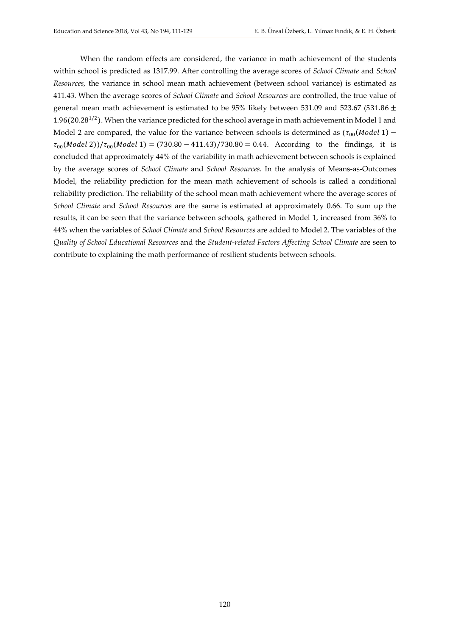When the random effects are considered, the variance in math achievement of the students within school is predicted as 1317.99. After controlling the average scores of *School Climate* and *School Resources,* the variance in school mean math achievement (between school variance) is estimated as 411.43. When the average scores of *School Climate* and *School Resources* are controlled, the true value of general mean math achievement is estimated to be 95% likely between 531.09 and 523.67 (531.86  $\pm$ 1.96(20.28<sup>1/2</sup>). When the variance predicted for the school average in math achievement in Model 1 and Model 2 are compared, the value for the variance between schools is determined as  $(\tau_{00}(Model 1) \tau_{00}($ Model 2))/ $\tau_{00}($ Model 1) = (730.80 – 411.43)/730.80 = 0.44. According to the findings, it is concluded that approximately 44% of the variability in math achievement between schools is explained by the average scores of *School Climate* and *School Resources.* In the analysis of Means-as-Outcomes Model, the reliability prediction for the mean math achievement of schools is called a conditional reliability prediction. The reliability of the school mean math achievement where the average scores of *School Climate* and *School Resources* are the same is estimated at approximately 0.66. To sum up the results, it can be seen that the variance between schools, gathered in Model 1, increased from 36% to 44% when the variables of *School Climate* and *School Resources* are added to Model 2. The variables of the *Quality of School Educational Resources* and the *Student-related Factors Affecting School Climate* are seen to contribute to explaining the math performance of resilient students between schools.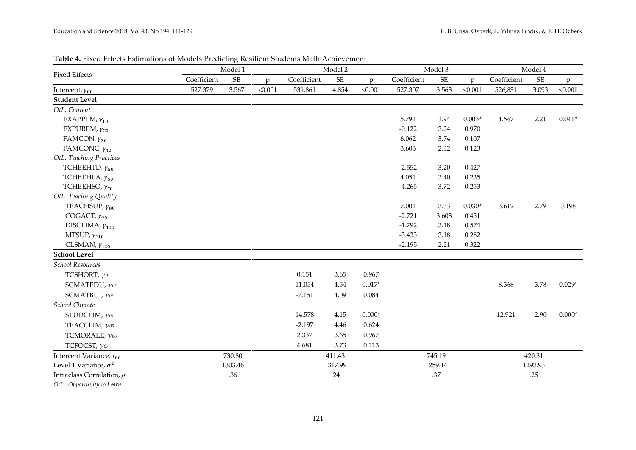|                                 |             | Model 1                    |                |             | Model 2   |              |             | Model 3                    |          |             | Model 4                    |          |  |
|---------------------------------|-------------|----------------------------|----------------|-------------|-----------|--------------|-------------|----------------------------|----------|-------------|----------------------------|----------|--|
| <b>Fixed Effects</b>            | Coefficient | $\ensuremath{\mathsf{SE}}$ | $\mathfrak{p}$ | Coefficient | <b>SE</b> | $\mathbf{D}$ | Coefficient | $\ensuremath{\mathsf{SE}}$ | D        | Coefficient | $\ensuremath{\mathsf{SE}}$ | p        |  |
| Intercept, $\gamma_{00}$        | 527.379     | 3.567                      | < 0.001        | 531.861     | 4.854     | < 0.001      | 527.307     | 3.563                      | < 0.001  | 526,831     | 3.093                      | < 0.001  |  |
| <b>Student Level</b>            |             |                            |                |             |           |              |             |                            |          |             |                            |          |  |
| OtL: Content                    |             |                            |                |             |           |              |             |                            |          |             |                            |          |  |
| EXAPPLM, $\gamma_{10}$          |             |                            |                |             |           |              | 5.791       | 1.94                       | $0.003*$ | 4.567       | 2.21                       | $0.041*$ |  |
| EXPUREM, $\gamma_{20}$          |             |                            |                |             |           |              | $-0.122$    | 3.24                       | 0.970    |             |                            |          |  |
| FAMCON, $\gamma_{30}$           |             |                            |                |             |           |              | 6.062       | 3.74                       | 0.107    |             |                            |          |  |
| FAMCONC, $\gamma_{40}$          |             |                            |                |             |           |              | 3.603       | 2.32                       | 0.123    |             |                            |          |  |
| OtL: Teaching Practices         |             |                            |                |             |           |              |             |                            |          |             |                            |          |  |
| TCHBEHTD, $\gamma_{50}$         |             |                            |                |             |           |              | $-2.552$    | 3.20                       | 0.427    |             |                            |          |  |
| TCHBEHFA, $\gamma_{60}$         |             |                            |                |             |           |              | 4.051       | 3.40                       | 0.235    |             |                            |          |  |
| TCHBEHSO, $\gamma_{70}$         |             |                            |                |             |           |              | $-4.265$    | 3.72                       | 0.253    |             |                            |          |  |
| OtL: Teaching Quality           |             |                            |                |             |           |              |             |                            |          |             |                            |          |  |
| TEACHSUP, $\gamma_{80}$         |             |                            |                |             |           |              | 7.001       | 3.33                       | $0.030*$ | 3.612       | 2.79                       | 0.198    |  |
| COGACT, $\gamma_{90}$           |             |                            |                |             |           |              | $-2.721$    | 3.603                      | 0.451    |             |                            |          |  |
| DISCLIMA, $\gamma_{100}$        |             |                            |                |             |           |              | $-1.792$    | $3.18\,$                   | 0.574    |             |                            |          |  |
| MTSUP, $\gamma_{110}$           |             |                            |                |             |           |              | $-3.433$    | $3.18\,$                   | 0.282    |             |                            |          |  |
| CLSMAN, $\gamma_{120}$          |             |                            |                |             |           |              | $-2.195$    | 2.21                       | 0.322    |             |                            |          |  |
| <b>School Level</b>             |             |                            |                |             |           |              |             |                            |          |             |                            |          |  |
| School Resources                |             |                            |                |             |           |              |             |                            |          |             |                            |          |  |
| TCSHORT, $\gamma$ 01            |             |                            |                | 0.151       | 3.65      | 0.967        |             |                            |          |             |                            |          |  |
| SCMATEDU, $\gamma$ 02           |             |                            |                | 11.054      | 4.54      | $0.017*$     |             |                            |          | 8.368       | 3.78                       | $0.029*$ |  |
| SCMATBUI, $\gamma$ 03           |             |                            |                | $-7.151$    | 4.09      | 0.084        |             |                            |          |             |                            |          |  |
| School Climate                  |             |                            |                |             |           |              |             |                            |          |             |                            |          |  |
| STUDCLIM, $\gamma$ 04           |             |                            |                | 14.578      | 4.15      | $0.000*$     |             |                            |          | 12.921      | 2.90                       | $0.000*$ |  |
| TEACCLIM, $\gamma$ 05           |             |                            |                | $-2.197$    | 4.46      | 0.624        |             |                            |          |             |                            |          |  |
| TCMORALE, $\gamma$ 06           |             |                            |                | 2.337       | 3.65      | 0.967        |             |                            |          |             |                            |          |  |
| TCFOCST, $\gamma$ 07            |             |                            |                | 4.681       | 3.73      | 0.213        |             |                            |          |             |                            |          |  |
| Intercept Variance, $\tau_{00}$ |             | 730.80                     |                |             | 411.43    |              |             | 745.19                     |          |             | 420.31                     |          |  |
| Level 1 Variance, $\sigma^2$    |             | 1303.46                    |                |             | 1317.99   |              |             | 1259.14                    |          |             | 1293.93                    |          |  |
| Intraclass Correlation, $\rho$  |             | .36                        |                |             | .24       |              |             | .37                        |          |             | .25                        |          |  |

**Table 4.** Fixed Effects Estimations of Models Predicting Resilient Students Math Achievement

*OtL= Opportunity to Learn*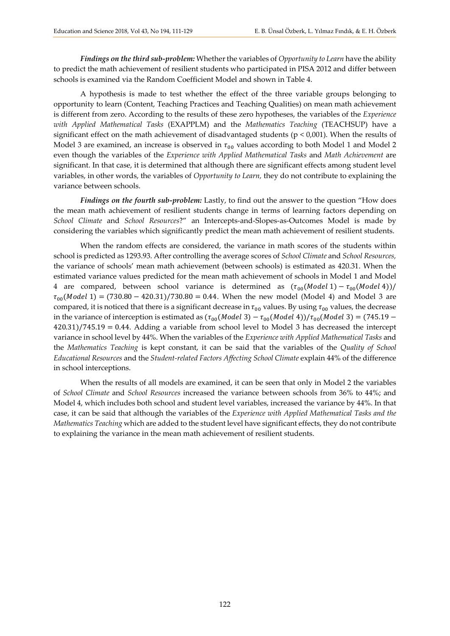*Findings on the third sub-problem:* Whether the variables of *Opportunity to Learn* have the ability to predict the math achievement of resilient students who participated in PISA 2012 and differ between schools is examined via the Random Coefficient Model and shown in Table 4.

A hypothesis is made to test whether the effect of the three variable groups belonging to opportunity to learn (Content, Teaching Practices and Teaching Qualities) on mean math achievement is different from zero. According to the results of these zero hypotheses, the variables of the *Experience with Applied Mathematical Tasks* (EXAPPLM) and the *Mathematics Teaching* (TEACHSUP) have a significant effect on the math achievement of disadvantaged students ( $p < 0.001$ ). When the results of Model 3 are examined, an increase is observed in  $\tau_{00}$  values according to both Model 1 and Model 2 even though the variables of the *Experience with Applied Mathematical Tasks* and *Math Achievement* are significant. In that case, it is determined that although there are significant effects among student level variables, in other words, the variables of *Opportunity to Learn,* they do not contribute to explaining the variance between schools.

*Findings on the fourth sub-problem:* Lastly, to find out the answer to the question "How does the mean math achievement of resilient students change in terms of learning factors depending on *School Climate* and *School Resources*?" an Intercepts-and-Slopes-as-Outcomes Model is made by considering the variables which significantly predict the mean math achievement of resilient students.

When the random effects are considered, the variance in math scores of the students within school is predicted as 1293.93. After controlling the average scores of *School Climate* and *School Resources,*  the variance of schools' mean math achievement (between schools) is estimated as 420.31. When the estimated variance values predicted for the mean math achievement of schools in Model 1 and Model 4 are compared, between school variance is determined as  $(\tau_{00}(Model 1) - \tau_{00}(Model 4))/$  $\tau_{00}($  Model 1) = (730.80 – 420.31)/730.80 = 0.44. When the new model (Model 4) and Model 3 are compared, it is noticed that there is a significant decrease in  $\tau_{00}$  values. By using  $\tau_{00}$  values, the decrease in the variance of interception is estimated as  $(\tau_{00}(Model\ 3) - \tau_{00}(Model\ 4))/\tau_{00}(Model\ 3) = (745.19 -$ 420.31)/745.19 = 0.44. Adding a variable from school level to Model 3 has decreased the intercept variance in school level by 44%. When the variables of the *Experience with Applied Mathematical Tasks* and the *Mathematics Teaching* is kept constant, it can be said that the variables of the *Quality of School Educational Resources* and the *Student-related Factors Affecting School Climate* explain 44% of the difference in school interceptions.

When the results of all models are examined, it can be seen that only in Model 2 the variables of *School Climate* and *School Resources* increased the variance between schools from 36% to 44%; and Model 4, which includes both school and student level variables, increased the variance by 44%. In that case, it can be said that although the variables of the *Experience with Applied Mathematical Tasks and the Mathematics Teaching* which are added to the student level have significant effects, they do not contribute to explaining the variance in the mean math achievement of resilient students.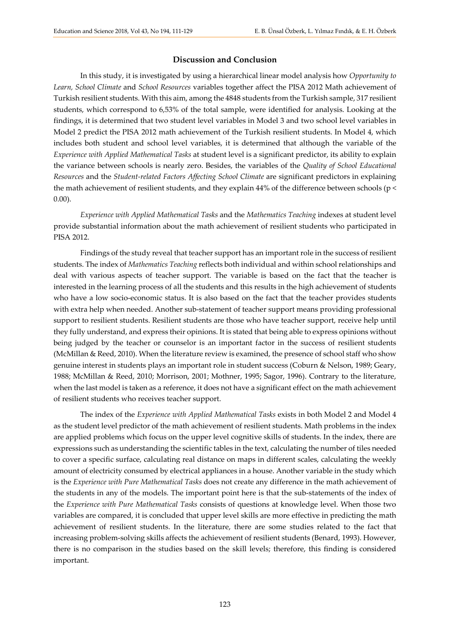#### **Discussion and Conclusion**

In this study, it is investigated by using a hierarchical linear model analysis how *Opportunity to Learn, School Climate* and *School Resources* variables together affect the PISA 2012 Math achievement of Turkish resilient students. With this aim, among the 4848 students from the Turkish sample, 317 resilient students, which correspond to 6,53% of the total sample, were identified for analysis. Looking at the findings, it is determined that two student level variables in Model 3 and two school level variables in Model 2 predict the PISA 2012 math achievement of the Turkish resilient students. In Model 4, which includes both student and school level variables, it is determined that although the variable of the *Experience with Applied Mathematical Tasks* at student level is a significant predictor, its ability to explain the variance between schools is nearly zero. Besides, the variables of the *Quality of School Educational Resources* and the *Student-related Factors Affecting School Climate* are significant predictors in explaining the math achievement of resilient students, and they explain 44% of the difference between schools (p < 0.00).

*Experience with Applied Mathematical Tasks* and the *Mathematics Teaching* indexes at student level provide substantial information about the math achievement of resilient students who participated in PISA 2012.

Findings of the study reveal that teacher support has an important role in the success of resilient students. The index of *Mathematics Teaching* reflects both individual and within school relationships and deal with various aspects of teacher support. The variable is based on the fact that the teacher is interested in the learning process of all the students and this results in the high achievement of students who have a low socio-economic status. It is also based on the fact that the teacher provides students with extra help when needed. Another sub-statement of teacher support means providing professional support to resilient students. Resilient students are those who have teacher support, receive help until they fully understand, and express their opinions. It is stated that being able to express opinions without being judged by the teacher or counselor is an important factor in the success of resilient students (McMillan & Reed, 2010). When the literature review is examined, the presence of school staff who show genuine interest in students plays an important role in student success (Coburn & Nelson, 1989; Geary, 1988; McMillan & Reed, 2010; Morrison, 2001; Mothner, 1995; Sagor, 1996). Contrary to the literature, when the last model is taken as a reference, it does not have a significant effect on the math achievement of resilient students who receives teacher support.

The index of the *Experience with Applied Mathematical Tasks* exists in both Model 2 and Model 4 as the student level predictor of the math achievement of resilient students. Math problems in the index are applied problems which focus on the upper level cognitive skills of students. In the index, there are expressions such as understanding the scientific tables in the text, calculating the number of tiles needed to cover a specific surface, calculating real distance on maps in different scales, calculating the weekly amount of electricity consumed by electrical appliances in a house. Another variable in the study which is the *Experience with Pure Mathematical Tasks* does not create any difference in the math achievement of the students in any of the models. The important point here is that the sub-statements of the index of the *Experience with Pure Mathematical Tasks* consists of questions at knowledge level. When those two variables are compared, it is concluded that upper level skills are more effective in predicting the math achievement of resilient students. In the literature, there are some studies related to the fact that increasing problem-solving skills affects the achievement of resilient students (Benard, 1993). However, there is no comparison in the studies based on the skill levels; therefore, this finding is considered important.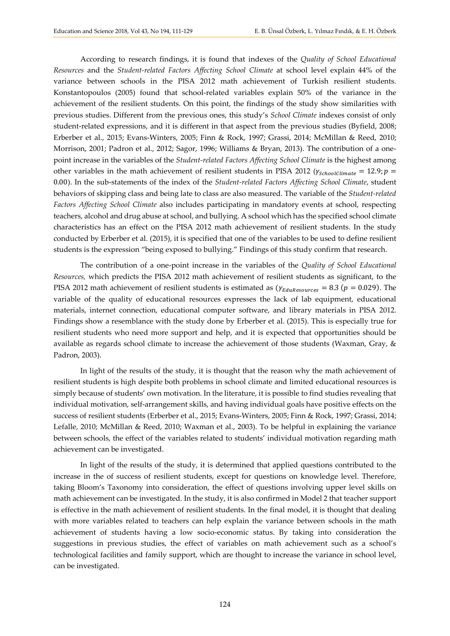According to research findings, it is found that indexes of the *Quality of School Educational Resources* and the *Student-related Factors Affecting School Climate* at school level explain 44% of the variance between schools in the PISA 2012 math achievement of Turkish resilient students. Konstantopoulos (2005) found that school-related variables explain 50% of the variance in the achievement of the resilient students. On this point, the findings of the study show similarities with previous studies. Different from the previous ones, this study's *School Climate* indexes consist of only student-related expressions, and it is different in that aspect from the previous studies (Byfield, 2008; Erberber et al., 2015; Evans-Winters, 2005; Finn & Rock, 1997; Grassi, 2014; McMillan & Reed, 2010; Morrison, 2001; Padron et al., 2012; Sagor, 1996; Williams & Bryan, 2013). The contribution of a onepoint increase in the variables of the *Student-related Factors Affecting School Climate* is the highest among other variables in the math achievement of resilient students in PISA 2012 ( $\gamma_{\text{schoolClimate}} = 12.9; p =$ 0.00). In the sub-statements of the index of the *Student-related Factors Affecting School Climate*, student behaviors of skipping class and being late to class are also measured. The variable of the *Student-related Factors Affecting School Climate* also includes participating in mandatory events at school, respecting teachers, alcohol and drug abuse at school, and bullying. A school which has the specified school climate characteristics has an effect on the PISA 2012 math achievement of resilient students. In the study conducted by Erberber et al. (2015), it is specified that one of the variables to be used to define resilient students is the expression "being exposed to bullying." Findings of this study confirm that research.

The contribution of a one-point increase in the variables of the *Quality of School Educational Resources,* which predicts the PISA 2012 math achievement of resilient students as significant, to the PISA 2012 math achievement of resilient students is estimated as  $(\gamma_{EduResources} = 8.3$  ( $p = 0.029$ ). The variable of the quality of educational resources expresses the lack of lab equipment, educational materials, internet connection, educational computer software, and library materials in PISA 2012. Findings show a resemblance with the study done by Erberber et al. (2015). This is especially true for resilient students who need more support and help, and it is expected that opportunities should be available as regards school climate to increase the achievement of those students (Waxman, Gray, & Padron, 2003).

In light of the results of the study, it is thought that the reason why the math achievement of resilient students is high despite both problems in school climate and limited educational resources is simply because of students' own motivation. In the literature, it is possible to find studies revealing that individual motivation, self-arrangement skills, and having individual goals have positive effects on the success of resilient students (Erberber et al., 2015; Evans-Winters, 2005; Finn & Rock, 1997; Grassi, 2014; Lefalle, 2010; McMillan & Reed, 2010; Waxman et al., 2003). To be helpful in explaining the variance between schools, the effect of the variables related to students' individual motivation regarding math achievement can be investigated.

In light of the results of the study, it is determined that applied questions contributed to the increase in the of success of resilient students, except for questions on knowledge level. Therefore, taking Bloom's Taxonomy into consideration, the effect of questions involving upper level skills on math achievement can be investigated. In the study, it is also confirmed in Model 2 that teacher support is effective in the math achievement of resilient students. In the final model, it is thought that dealing with more variables related to teachers can help explain the variance between schools in the math achievement of students having a low socio-economic status. By taking into consideration the suggestions in previous studies, the effect of variables on math achievement such as a school's technological facilities and family support, which are thought to increase the variance in school level, can be investigated.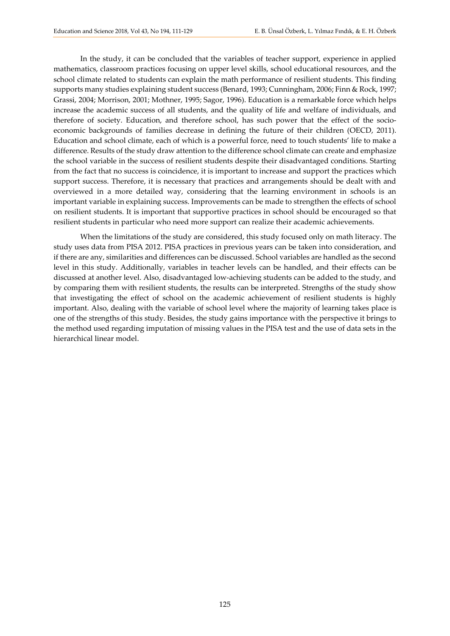In the study, it can be concluded that the variables of teacher support, experience in applied mathematics, classroom practices focusing on upper level skills, school educational resources, and the school climate related to students can explain the math performance of resilient students. This finding supports many studies explaining student success (Benard, 1993; Cunningham, 2006; Finn & Rock, 1997; Grassi, 2004; Morrison, 2001; Mothner, 1995; Sagor, 1996). Education is a remarkable force which helps increase the academic success of all students, and the quality of life and welfare of individuals, and therefore of society. Education, and therefore school, has such power that the effect of the socioeconomic backgrounds of families decrease in defining the future of their children (OECD, 2011). Education and school climate, each of which is a powerful force, need to touch students' life to make a difference. Results of the study draw attention to the difference school climate can create and emphasize the school variable in the success of resilient students despite their disadvantaged conditions. Starting from the fact that no success is coincidence, it is important to increase and support the practices which support success. Therefore, it is necessary that practices and arrangements should be dealt with and overviewed in a more detailed way, considering that the learning environment in schools is an important variable in explaining success. Improvements can be made to strengthen the effects of school on resilient students. It is important that supportive practices in school should be encouraged so that resilient students in particular who need more support can realize their academic achievements.

When the limitations of the study are considered, this study focused only on math literacy. The study uses data from PISA 2012. PISA practices in previous years can be taken into consideration, and if there are any, similarities and differences can be discussed. School variables are handled as the second level in this study. Additionally, variables in teacher levels can be handled, and their effects can be discussed at another level. Also, disadvantaged low-achieving students can be added to the study, and by comparing them with resilient students, the results can be interpreted. Strengths of the study show that investigating the effect of school on the academic achievement of resilient students is highly important. Also, dealing with the variable of school level where the majority of learning takes place is one of the strengths of this study. Besides, the study gains importance with the perspective it brings to the method used regarding imputation of missing values in the PISA test and the use of data sets in the hierarchical linear model.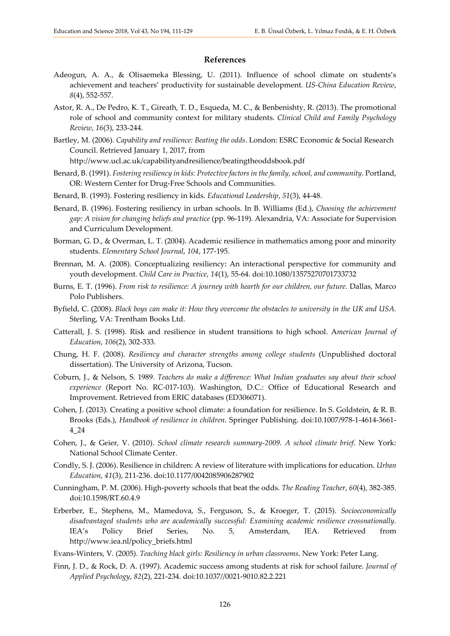#### **References**

- Adeogun, A. A., & Olisaemeka Blessing, U. (2011). Influence of school climate on students's achievement and teachers' productivity for sustainable development. *US-China Education Review*, *8*(4), 552-557.
- Astor, R. A., De Pedro, K. T., Gireath, T. D., Esqueda, M. C., & Benbenishty, R. (2013). The promotional role of school and community context for military students. *Clinical Child and Family Psychology Review*, *16*(3), 233-244.
- Bartley, M. (2006). *Capability and resilience: Beating the odds*. London: ESRC Economic & Social Research Council. Retrieved January 1, 2017, from

<http://www.ucl.ac.uk/capabilityandresilience/beatingtheoddsbook.pdf>

- Benard, B. (1991). *Fostering resiliency in kids: Protective factors in the family, school, and community*. Portland, OR: Western Center for Drug-Free Schools and Communities.
- Benard, B. (1993). Fostering resiliency in kids. *Educational Leadership*, *51*(3), 44-48.
- Benard, B. (1996). Fostering resiliency in urban schools. In B. Williams (Ed.), *Choosing the achievement gap: A vision for changing beliefs and practice* (pp. 96-119). Alexandria, VA: Associate for Supervision and Curriculum Development.
- Borman, G. D., & Overman, L. T. (2004). Academic resilience in mathematics among poor and minority students. *Elementary School Journal*, *104*, 177-195.
- Brennan, M. A. (2008). Conceptualizing resiliency: An interactional perspective for community and youth development. *Child Care in Practice*, *14*(1), 55-64. doi:10.1080/13575270701733732
- Burns, E. T. (1996). *From risk to resilience: A journey with hearth for our children, our future*. Dallas, Marco Polo Publishers.
- Byfield, C. (2008). *Black boys can make it: How they overcome the obstacles to university in the UK and USA.*  Sterling, VA: Trentham Books Ltd.
- Catterall, J. S. (1998). Risk and resilience in student transitions to high school. A*merican Journal of Education*, *106*(2), 302-333.
- Chung, H. F. (2008). *Resiliency and character strengths among college students* (Unpublished doctoral dissertation). The University of Arizona, Tucson.
- Coburn, J., & Nelson, S. 1989. *Teachers do make a difference: What Indian graduates say about their school experience* (Report No. RC-017-103). Washington, D.C.: Office of Educational Research and Improvement. Retrieved from ERIC databases (ED306071).
- Cohen, J. (2013). Creating a positive school climate: a foundation for resilience. In S. Goldstein, & R. B. Brooks (Eds.), *Handbook of resilience in children*. Springer Publishing. doi:10.1007/978-1-4614-3661- 4\_24
- Cohen, J., & Geier, V. (2010). *School climate research summary-2009. A school climate brief*. New York: National School Climate Center.
- Condly, S. J. (2006). Resilience in children: A review of literature with implications for education. *Urban Education*, *41*(3), 211-236. doi:10.1177/0042085906287902
- Cunningham, P. M. (2006). High-poverty schools that beat the odds. *The Reading Teacher*, *60*(4), 382-385. doi:10.1598/RT.60.4.9
- Erberber, E., Stephens, M., Mamedova, S., Ferguson, S., & Kroeger, T. (2015). *Socioeconomically disadvantaged students who are academically successful: Examining academic resilience crossnationally.* IEA's Policy Brief Series, No. 5, Amsterdam, IEA. Retrieved from http://www.iea.nl/policy\_briefs.html

Evans-Winters, V. (2005). *Teaching black girls: Resiliency in urban classrooms*. New York: Peter Lang.

Finn, J. D., & Rock, D. A. (1997). Academic success among students at risk for school failure. *Journal of Applied Psychology*, *82*(2), 221-234. doi:10.1037//0021-9010.82.2.221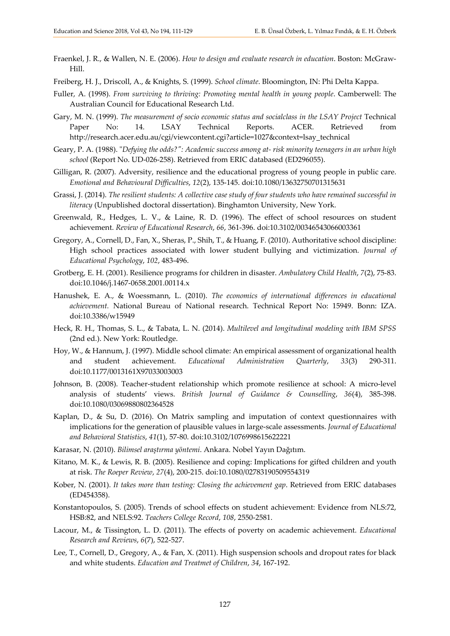- Fraenkel, J. R., & Wallen, N. E. (2006). *How to design and evaluate research in education*. Boston: McGraw-Hill.
- Freiberg, H. J., Driscoll, A., & Knights, S. (1999). *School climate*. Bloomington, IN: Phi Delta Kappa.
- Fuller, A. (1998). *From surviving to thriving: Promoting mental health in young people*. Camberwell: The Australian Council for Educational Research Ltd.
- Gary, M. N. (1999). *The measurement of socio economic status and socialclass in the LSAY Project* Technical Paper No: 14. LSAY Technical Reports. ACER. Retrieved from [http://research.acer.edu.au/cgi/viewcontent.cgi?article=1027&context=lsay\\_technical](http://research.acer.edu.au/cgi/viewcontent.cgi?article=1027&context=lsay_technical)
- Geary, P. A. (1988). "*Defying the odds?": Academic success among at- risk minority teenagers in an urban high school* (Report No. UD-026-258). Retrieved from ERIC databased (ED296055).
- Gilligan, R. (2007). Adversity, resilience and the educational progress of young people in public care. *Emotional and Behavioural Difficulties*, *12*(2), 135-145. doi[:10.1080/13632750701315631](http://dx.doi.org/10.1080/13632750701315631)
- Grassi, J. (2014). *The resilient students: A collective case study of four students who have remained successful in literacy* (Unpublished doctoral dissertation). Binghamton University, New York.
- Greenwald, R., Hedges, L. V., & Laine, R. D. (1996). The effect of school resources on student achievement. *Review of Educational Research*, *66*, 361-396. doi:10.3102/00346543066003361
- Gregory, A., Cornell, D., Fan, X., Sheras, P., Shih, T., & Huang, F. (2010). Authoritative school discipline: High school practices associated with lower student bullying and victimization. *Journal of Educational Psychology*, *102*, 483-496.
- Grotberg, E. H. (2001). Resilience programs for children in disaster. *Ambulatory Child Health*, *7*(2), 75-83. doi:10.1046/j.1467-0658.2001.00114.x
- Hanushek, E. A., & Woessmann, L. (2010). *The economics of international differences in educational achievement.* National Bureau of National research. Technical Report No: 15949. Bonn: IZA. doi:10.3386/w15949
- Heck, R. H., Thomas, S. L., & Tabata, L. N. (2014). *Multilevel and longitudinal modeling with IBM SPSS* (2nd ed.). New York: Routledge.
- Hoy, W., & Hannum, J. (1997). Middle school climate: An empirical assessment of organizational health and student achievement. *Educational Administration Quarterly*, *33*(3) 290-311. doi:10.1177/0013161X97033003003
- Johnson, B. (2008). Teacher-student relationship which promote resilience at school: A micro-level analysis of students' views. *British Journal of Guidance & Counselling*, *36*(4), 385-398. doi:10.1080/03069880802364528
- Kaplan, D., & Su, D. (2016). On Matrix sampling and imputation of context questionnaires with implications for the generation of plausible values in large-scale assessments. *Journal of Educational and Behavioral Statistics*, *41*(1), 57-80. doi:10.3102/1076998615622221
- Karasar, N. (2010). *Bilimsel araştırma yöntemi*. Ankara. Nobel Yayın Dağıtım.
- Kitano, M. K., & Lewis, R. B. (2005). Resilience and coping: Implications for gifted children and youth at risk. *The Roeper Review*, *27*(4), 200-215. doi:10.1080/02783190509554319
- Kober, N. (2001). *It takes more than testing: Closing the achievement gap*. Retrieved from ERIC databases (ED454358).
- Konstantopoulos, S. (2005). Trends of school effects on student achievement: Evidence from NLS:72, HSB:82, and NELS:92. *Teachers College Record*, *108*, 2550-2581.
- Lacour, M., & Tissington, L. D. (2011). The effects of poverty on academic achievement. *Educational Research and Reviews*, *6*(7), 522-527.
- Lee, T., Cornell, D., Gregory, A., & Fan, X. (2011). High suspension schools and dropout rates for black and white students. *Education and Treatmet of Children*, *34*, 167-192.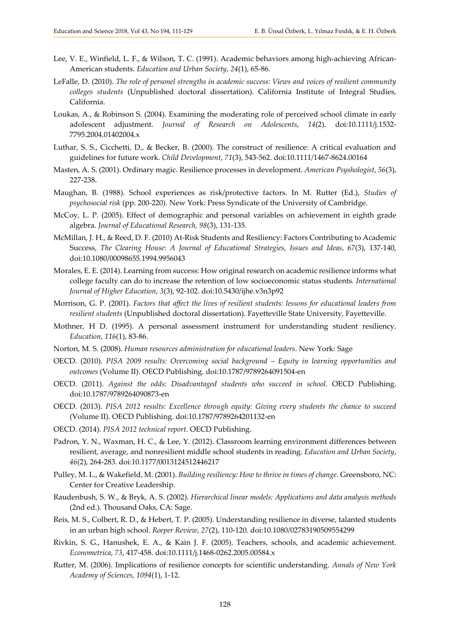- Lee, V. E., Winfield, L. F., & Wilson, T. C. (1991). Academic behaviors among high-achieving African-American students. *Education and Urban Society*, *24*(1), 65-86.
- LeFalle, D. (2010). *The role of personel strengths in academic success: Views and voices of resilient community colleges students* (Unpublished doctoral dissertation). California Institute of Integral Studies, California.
- Loukas, A., & Robinson S. (2004). Examining the moderating role of perceived school climate in early adolescent adjustment. *Journal of Research on Adolescents*, *14*(2). doi:10.1111/j.1532- 7795.2004.01402004.x
- Luthar, S. S., Cicchetti, D., & Becker, B. (2000). The construct of resilience: A critical evaluation and guidelines for future work. *Child Development*, *71*(3), 543-562. doi:10.1111/1467-8624.00164
- Masten, A. S. (2001). Ordinary magic. Resilience processes in development. *American Psyshologist*, *56*(3), 227-238.
- Maughan, B. (1988). School experiences as risk/protective factors. In M. Rutter (Ed.), *Studies of psychosocial risk* (pp. 200-220). New York: Press Syndicate of the University of Cambridge.
- McCoy, L. P. (2005). Effect of demographic and personal variables on achievement in eighth grade algebra. *Journal of Educational Research, 98*(3), 131-135.
- McMillan, J. H., & Reed, D. F. (2010) At-Risk Students and Resiliency: Factors Contributing to Academic Success, *The Clearing House: A Journal of Educational Strategies, Issues and Ideas*, *67*(3), 137-140, doi:10.1080/00098655.1994.9956043
- Morales, E. E. (2014). Learning from success: How original research on academic resilience informs what college faculty can do to increase the retention of low socioeconomic status students*. International Journal of Higher Education*, *3*(3), 92-102. doi:10.5430/ijhe.v3n3p92
- Morrison, G. P. (2001). *Factors that affect the lives of resilient students: lessons for educational leaders from resilient students* (Unpublished doctoral dissertation). Fayetteville State University, Fayetteville.
- Mothner, H D. (1995). A personal assessment instrument for understanding student resiliency. *Education*, *116*(1), 83-86.
- Norton, M. S. (2008). *Human resources administration for educational leaders*. New York: Sage
- OECD. (2010). *PISA 2009 results: Overcoming social background – Equity in learning opportunities and outcomes* (Volume II). OECD Publishing. doi:10.1787/9789264091504-en
- OECD. (2011). *Against the odds: Disadvantaged students who succeed in school*. OECD Publishing. doi:10.1787/9789264090873-en
- OECD. (2013). *PISA 2012 results: Excellence through equity: Giving every students the chance to succeed* (Volume II). OECD Publishing. doi:10.1787/9789264201132-en
- OECD. (2014). *PISA 2012 technical report*. OECD Publishing.
- Padron, Y. N., Waxman, H. C., & Lee, Y. (2012). Classroom learning environment differences between resilient, average, and nonresilient middle school students in reading. *Education and Urban Society*, *46*(2), 264-283. doi:10.1177/0013124512446217
- Pulley, M. L., & Wakefield, M. (2001). *Building resiliency: How to thrive in times of change*. Greensboro, NC: Center for Creative Leadership.
- Raudenbush, S. W., & Bryk, A. S. (2002). *Hierarchical linear models: Applications and data analysis methods* (2nd ed.). Thousand Oaks, CA: Sage.
- Reis, M. S., Colbert, R. D., & Hebert, T. P. (2005). Understanding resilience in diverse, talanted students in an urban high school. *Roeper Review*, *27*(2), 110-120. doi:10.1080/02783190509554299
- Rivkin, S. G., Hanushek, E. A., & Kain J. F. (2005). Teachers, schools, and academic achievement. *Econometrica*, *73*, 417-458. doi:10.1111/j.1468-0262.2005.00584.x
- Rutter, M. (2006). Implications of resilience concepts for scientific understanding. *Annals of New York Academy of Sciences*, *1094*(1), 1-12.